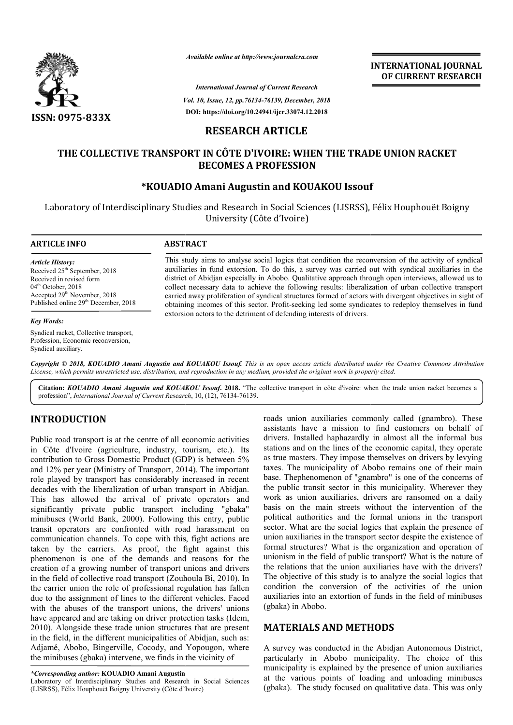

*Available online at http://www.journalcra.com*

*Vol. 10, Issue, 12, pp.76134-76139, December, 2018 International Journal of Current Research* **DOI: https://doi.org/10.24941/ijcr.33074.12.2018**

**INTERNATIONAL JOURNAL OF CURRENT RESEARCH**

# **RESEARCH ARTICLE**

# **THE COLLECTIVE TRANSPORT IN CÔTE D'IVOIRE: WHEN THE TRADE UNION RACKET BECOMES A PROFESSION**

# **\*KOUADIO Amani Augustin and KOUAKOU Issouf**

Laboratory of Interdisciplinary Studies and Research in Social Sciences (LISRSS), Félix Houphouët Boigny University (Côte d'Ivoire)

#### **ARTICLE INFO ABSTRACT**

*Article History:* Received 25<sup>th</sup> September, 2018 Received in revised form 04<sup>th</sup> October, 2018 Accepted 29<sup>th</sup> November, 2018 Published online 29<sup>th</sup> December, 2018

#### *Key Words:*

Syndical racket, Collective transport, Profession, Economic reconversion, Syndical auxiliary.

This study aims to analyse social logics that condition the reconversion of the activity of syndical auxiliaries in fund extorsion. To do this, a survey was carried out with syndical auxiliaries in the This study aims to analyse social logics that condition the reconversion of the activity of syndical auxiliaries in the district of Abidjan especially in Abobo. Qualitative approach through open interviews, allowed us to collect necessary data to achieve the following results: liberalization of urban collective transport carried away proliferation of syndical structures formed of actors with divergent objectives in sight of obtaining incomes of this sector. Profit-seeking led some syndicates to redeploy themselves in fund extorsion actors to the detriment of defending interests of drivers. collect necessary data to achieve the following results: liberalization of urban collective transport carried away proliferation of syndical structures formed of actors with divergent objectives in sight of obtaining incom

Copyright © 2018, KOUADIO Amani Augustin and KOUAKOU Issouf. This is an open access article distributed under the Creative Commons Attribution License, which permits unrestricted use, distribution, and reproduction in any medium, provided the original work is properly cited.

Citation: *KOUADIO Amani Augustin and KOUAKOU Issouf.* 2018. "The collective transport in côte d'ivoire: when the trade union racket becomes a profession", *International Journal of Current Research* , 10, (12), 76134-76139.

# **INTRODUCTION**

Public road transport is at the centre of all economic activities in Côte d'Ivoire (agriculture, industry, tourism, etc.). Its contribution to Gross Domestic Product (GDP) is between 5% and 12% per year (Ministry of Transport, 2014). The important role played by transport has considerably increased in recent decades with the liberalization of urban transport in Abidjan. This has allowed the arrival of private operators and significantly private public transport including "gbaka" minibuses (World Bank, 2000). Following this entry, public transit operators are confronted with road harassment on communication channels. To cope with this, fight actions are taken by the carriers. As proof, the fight against this phenomenon is one of the demands and reasons for the creation of a growing number of transport unions and drivers in the field of collective road transport (Zouhoula Bi, 2010). In the carrier union the role of professional regulation has fallen due to the assignment of lines to the different vehicles. Faced with the abuses of the transport unions, the drivers' unions have appeared and are taking on driver protection tasks (Idem, 2010). Alongside these trade union structures that are present in the field, in the different municipalities of Abidjan, such as: Adjamé, Abobo, Bingerville, Cocody, and Yopougon, where the minibuses (gbaka) intervene, we finds in the vicinity of erators are confronted with road harassment on<br>ation channels. To cope with this, fight actions are<br>the carriers. As proof, the fight against this<br>on is one of the demands and reasons for the<br>f a growing number of transpor

*\*Corresponding author:* **KOUADIO Amani Augustin** 

Laboratory of Interdisciplinary Studies and Research in Social Sciences (LISRSS), Félix Houphouët Boigny University (Côte d'Ivoire d'Ivoire)

roads union auxiliaries commonly called (gnambro). These assistants have a mission to find customers on behalf of drivers. Installed haphazardly in almost all the informal bus stations and on the lines of the economic capital, they operate as true masters. They impose themselves on drivers by levying taxes. The municipality of Abobo remains one of their main base. Thephenomenon of "gnambro" is one of the concerns of the public transit sector in this municipality. Wherever they work as union auxiliaries, drivers are ransomed on a daily basis on the main streets without the intervention of the political authorities and the formal unions in the transport sector. What are the social logics that explain the presence of union auxiliaries in the transport sector despite the existence of formal structures? What is the organization and operation of unionism in the field of public transport? What is the nature of the relations that the union auxiliaries have with the drivers? formal structures? What is the organization and operation of unionism in the field of public transport? What is the nature of the relations that the union auxiliaries have with the drivers? The objective of this study is t condition the conversion of the activities of the union condition the conversion of the activities of the union auxiliaries into an extortion of funds in the field of minibuses (gbaka) in Abobo. roads union auxiliaries commonly called (gnambro). These assistants have a mission to find customers on behalf of drivers. Installed haphazardly in almost all the informal bus stations and on the lines of the economic capi INTERNATIONAL JOURNAL<br>
Corrent Research<br>
COF CURRENT RESEARCH<br>
COF CURRENT RESEARCH<br>
ALTICLE<br>
ARTICLE<br>
ARTICLE<br>
ARTICLE<br>
ARTICLE<br>
ARTICLE<br>
ARTICLE<br>
ARTICLE<br>
ARTICLE<br>
ADVICE CONDUCT ISSUES THEIX HOUPHOUR POSSION<br>
and KOUAKO

# **MATERIALS AND METHODS METHODS**

A survey was conducted in the Abidjan Autonomous District, particularly in Abobo municipality. The choice of this municipality is explained by the presence of union auxiliaries at the various points of loading and unloading minibuses (gbaka). The study focused on qualitative data. This was only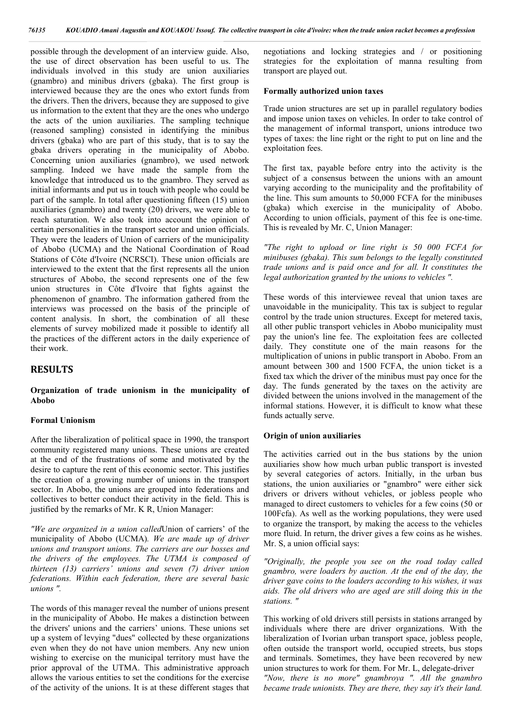possible through the development of an interview guide. Also, the use of direct observation has been useful to us. The individuals involved in this study are union auxiliaries (gnambro) and minibus drivers (gbaka). The first group is interviewed because they are the ones who extort funds from the drivers. Then the drivers, because they are supposed to give us information to the extent that they are the ones who undergo the acts of the union auxiliaries. The sampling technique (reasoned sampling) consisted in identifying the minibus drivers (gbaka) who are part of this study, that is to say the gbaka drivers operating in the municipality of Abobo. Concerning union auxiliaries (gnambro), we used network sampling. Indeed we have made the sample from the knowledge that introduced us to the gnambro. They served as initial informants and put us in touch with people who could be part of the sample. In total after questioning fifteen (15) union auxiliaries (gnambro) and twenty (20) drivers, we were able to reach saturation. We also took into account the opinion of certain personalities in the transport sector and union officials. They were the leaders of Union of carriers of the municipality of Abobo (UCMA) and the National Coordination of Road Stations of Côte d'Ivoire (NCRSCI). These union officials are interviewed to the extent that the first represents all the union structures of Abobo, the second represents one of the few union structures in Côte d'Ivoire that fights against the phenomenon of gnambro. The information gathered from the interviews was processed on the basis of the principle of content analysis. In short, the combination of all these elements of survey mobilized made it possible to identify all the practices of the different actors in the daily experience of their work.

# **RESULTS**

### **Organization of trade unionism in the municipality of Abobo**

#### **Formal Unionism**

After the liberalization of political space in 1990, the transport community registered many unions. These unions are created at the end of the frustrations of some and motivated by the desire to capture the rent of this economic sector. This justifies the creation of a growing number of unions in the transport sector. In Abobo, the unions are grouped into federations and collectives to better conduct their activity in the field. This is justified by the remarks of Mr. K R, Union Manager:

*"We are organized in a union called*Union of carriers' of the municipality of Abobo (UCMA)*. We are made up of driver unions and transport unions. The carriers are our bosses and the drivers of the employees. The UTMA is composed of thirteen (13) carriers' unions and seven (7) driver union federations. Within each federation, there are several basic unions ".*

The words of this manager reveal the number of unions present in the municipality of Abobo. He makes a distinction between the drivers' unions and the carriers' unions. These unions set up a system of levying "dues" collected by these organizations even when they do not have union members. Any new union wishing to exercise on the municipal territory must have the prior approval of the UTMA. This administrative approach allows the various entities to set the conditions for the exercise of the activity of the unions. It is at these different stages that negotiations and locking strategies and / or positioning strategies for the exploitation of manna resulting from transport are played out.

#### **Formally authorized union taxes**

Trade union structures are set up in parallel regulatory bodies and impose union taxes on vehicles. In order to take control of the management of informal transport, unions introduce two types of taxes: the line right or the right to put on line and the exploitation fees.

The first tax, payable before entry into the activity is the subject of a consensus between the unions with an amount varying according to the municipality and the profitability of the line. This sum amounts to 50,000 FCFA for the minibuses (gbaka) which exercise in the municipality of Abobo. According to union officials, payment of this fee is one-time. This is revealed by Mr. C, Union Manager:

*"The right to upload or line right is 50 000 FCFA for minibuses (gbaka). This sum belongs to the legally constituted trade unions and is paid once and for all. It constitutes the legal authorization granted by the unions to vehicles ".*

These words of this interviewee reveal that union taxes are unavoidable in the municipality. This tax is subject to regular control by the trade union structures. Except for metered taxis, all other public transport vehicles in Abobo municipality must pay the union's line fee. The exploitation fees are collected daily. They constitute one of the main reasons for the multiplication of unions in public transport in Abobo. From an amount between 300 and 1500 FCFA, the union ticket is a fixed tax which the driver of the minibus must pay once for the day. The funds generated by the taxes on the activity are divided between the unions involved in the management of the informal stations. However, it is difficult to know what these funds actually serve.

#### **Origin of union auxiliaries**

The activities carried out in the bus stations by the union auxiliaries show how much urban public transport is invested by several categories of actors. Initially, in the urban bus stations, the union auxiliaries or "gnambro" were either sick drivers or drivers without vehicles, or jobless people who managed to direct customers to vehicles for a few coins (50 or 100Fcfa). As well as the working populations, they were used to organize the transport, by making the access to the vehicles more fluid. In return, the driver gives a few coins as he wishes. Mr. S, a union official says:

*"Originally, the people you see on the road today called gnambro, were loaders by auction. At the end of the day, the driver gave coins to the loaders according to his wishes, it was aids. The old drivers who are aged are still doing this in the stations. "*

This working of old drivers still persists in stations arranged by individuals where there are driver organizations. With the liberalization of Ivorian urban transport space, jobless people, often outside the transport world, occupied streets, bus stops and terminals. Sometimes, they have been recovered by new union structures to work for them. For Mr. L, delegate-driver *"Now, there is no more" gnambroya ". All the gnambro became trade unionists. They are there, they say it's their land.*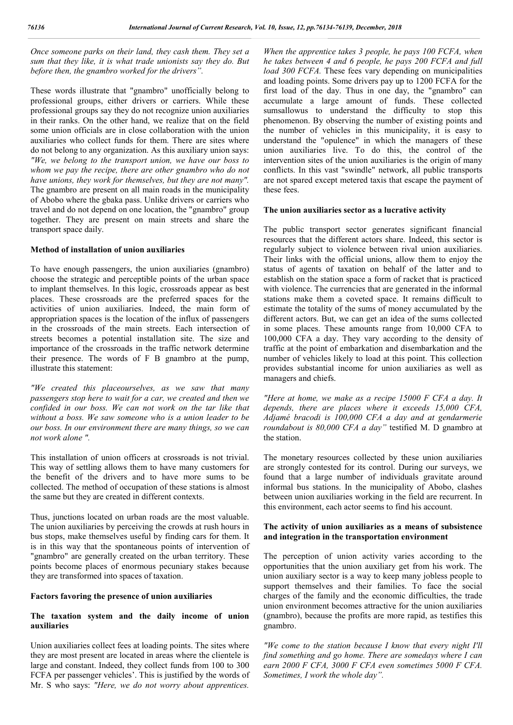*Once someone parks on their land, they cash them. They set a sum that they like, it is what trade unionists say they do. But before then, the gnambro worked for the drivers".*

These words illustrate that "gnambro" unofficially belong to professional groups, either drivers or carriers. While these professional groups say they do not recognize union auxiliaries in their ranks. On the other hand, we realize that on the field some union officials are in close collaboration with the union auxiliaries who collect funds for them. There are sites where do not belong to any organization. As this auxiliary union says: *"We, we belong to the transport union, we have our boss to whom we pay the recipe, there are other gnambro who do not have unions, they work for themselves, but they are not many".*  The gnambro are present on all main roads in the municipality of Abobo where the gbaka pass. Unlike drivers or carriers who travel and do not depend on one location, the "gnambro" group together. They are present on main streets and share the transport space daily.

## **Method of installation of union auxiliaries**

To have enough passengers, the union auxiliaries (gnambro) choose the strategic and perceptible points of the urban space to implant themselves. In this logic, crossroads appear as best places. These crossroads are the preferred spaces for the activities of union auxiliaries. Indeed, the main form of appropriation spaces is the location of the influx of passengers in the crossroads of the main streets. Each intersection of streets becomes a potential installation site. The size and importance of the crossroads in the traffic network determine their presence. The words of F B gnambro at the pump, illustrate this statement:

*"We created this placeourselves, as we saw that many passengers stop here to wait for a car, we created and then we confided in our boss. We can not work on the tar like that without a boss. We saw someone who is a union leader to be our boss. In our environment there are many things, so we can not work alone ".*

This installation of union officers at crossroads is not trivial. This way of settling allows them to have many customers for the benefit of the drivers and to have more sums to be collected. The method of occupation of these stations is almost the same but they are created in different contexts.

Thus, junctions located on urban roads are the most valuable. The union auxiliaries by perceiving the crowds at rush hours in bus stops, make themselves useful by finding cars for them. It is in this way that the spontaneous points of intervention of "gnambro" are generally created on the urban territory. These points become places of enormous pecuniary stakes because they are transformed into spaces of taxation.

#### **Factors favoring the presence of union auxiliaries**

## **The taxation system and the daily income of union auxiliaries**

Union auxiliaries collect fees at loading points. The sites where they are most present are located in areas where the clientele is large and constant. Indeed, they collect funds from 100 to 300 FCFA per passenger vehicles'. This is justified by the words of Mr. S who says: *"Here, we do not worry about apprentices.* 

*When the apprentice takes 3 people, he pays 100 FCFA, when he takes between 4 and 6 people, he pays 200 FCFA and full load 300 FCFA.* These fees vary depending on municipalities and loading points. Some drivers pay up to 1200 FCFA for the first load of the day. Thus in one day, the "gnambro" can accumulate a large amount of funds. These collected sumsallowus to understand the difficulty to stop this phenomenon. By observing the number of existing points and the number of vehicles in this municipality, it is easy to understand the "opulence" in which the managers of these union auxiliaries live. To do this, the control of the intervention sites of the union auxiliaries is the origin of many conflicts. In this vast "swindle" network, all public transports are not spared except metered taxis that escape the payment of these fees.

## **The union auxiliaries sector as a lucrative activity**

The public transport sector generates significant financial resources that the different actors share. Indeed, this sector is regularly subject to violence between rival union auxiliaries. Their links with the official unions, allow them to enjoy the status of agents of taxation on behalf of the latter and to establish on the station space a form of racket that is practiced with violence. The currencies that are generated in the informal stations make them a coveted space. It remains difficult to estimate the totality of the sums of money accumulated by the different actors. But, we can get an idea of the sums collected in some places. These amounts range from 10,000 CFA to 100,000 CFA a day. They vary according to the density of traffic at the point of embarkation and disembarkation and the number of vehicles likely to load at this point. This collection provides substantial income for union auxiliaries as well as managers and chiefs.

*"Here at home, we make as a recipe 15000 F CFA a day. It depends, there are places where it exceeds 15,000 CFA, Adjamé bracodi is 100,000 CFA a day and at gendarmerie roundabout is 80,000 CFA a day"* testified M. D gnambro at the station.

The monetary resources collected by these union auxiliaries are strongly contested for its control. During our surveys, we found that a large number of individuals gravitate around informal bus stations. In the municipality of Abobo, clashes between union auxiliaries working in the field are recurrent. In this environment, each actor seems to find his account.

# **The activity of union auxiliaries as a means of subsistence and integration in the transportation environment**

The perception of union activity varies according to the opportunities that the union auxiliary get from his work. The union auxiliary sector is a way to keep many jobless people to support themselves and their families. To face the social charges of the family and the economic difficulties, the trade union environment becomes attractive for the union auxiliaries (gnambro), because the profits are more rapid, as testifies this gnambro.

*"We come to the station because I know that every night I'll find something and go home. There are somedays where I can earn 2000 F CFA, 3000 F CFA even sometimes 5000 F CFA. Sometimes, I work the whole day".*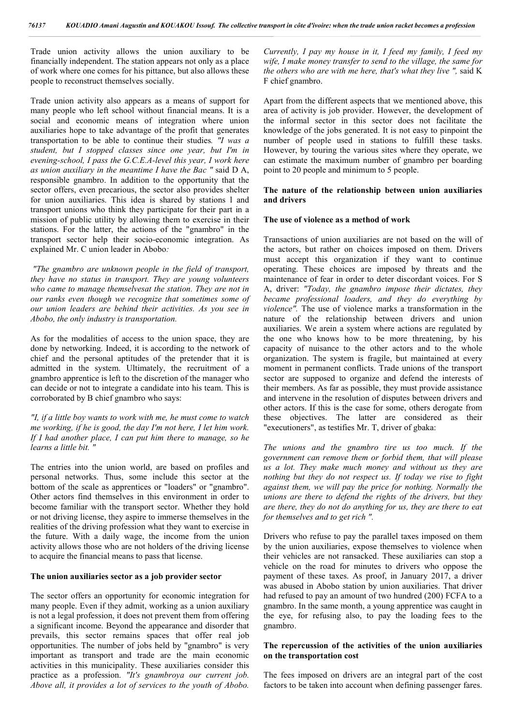Trade union activity allows the union auxiliary to be financially independent. The station appears not only as a place of work where one comes for his pittance, but also allows these people to reconstruct themselves socially.

Trade union activity also appears as a means of support for many people who left school without financial means. It is a social and economic means of integration where union auxiliaries hope to take advantage of the profit that generates transportation to be able to continue their studies*. "I was a student, but I stopped classes since one year, but I'm in evening-school, I pass the G.C.E.A-level this year, I work here as union auxiliary in the meantime I have the Bac "* said D A, responsible gnambro. In addition to the opportunity that the sector offers, even precarious, the sector also provides shelter for union auxiliaries. This idea is shared by stations l and transport unions who think they participate for their part in a mission of public utility by allowing them to exercise in their stations. For the latter, the actions of the "gnambro" in the transport sector help their socio-economic integration. As explained Mr. C union leader in Abobo*:*

*"The gnambro are unknown people in the field of transport, they have no status in transport. They are young volunteers who came to manage themselvesat the station. They are not in our ranks even though we recognize that sometimes some of our union leaders are behind their activities. As you see in Abobo, the only industry is transportation.*

As for the modalities of access to the union space, they are done by networking. Indeed, it is according to the network of chief and the personal aptitudes of the pretender that it is admitted in the system. Ultimately, the recruitment of a gnambro apprentice is left to the discretion of the manager who can decide or not to integrate a candidate into his team. This is corroborated by B chief gnambro who says:

*"I, if a little boy wants to work with me, he must come to watch me working, if he is good, the day I'm not here, I let him work. If I had another place, I can put him there to manage, so he learns a little bit. "*

The entries into the union world, are based on profiles and personal networks. Thus, some include this sector at the bottom of the scale as apprentices or "loaders" or "gnambro". Other actors find themselves in this environment in order to become familiar with the transport sector. Whether they hold or not driving license, they aspire to immerse themselves in the realities of the driving profession what they want to exercise in the future. With a daily wage, the income from the union activity allows those who are not holders of the driving license to acquire the financial means to pass that license.

#### **The union auxiliaries sector as a job provider sector**

The sector offers an opportunity for economic integration for many people. Even if they admit, working as a union auxiliary is not a legal profession, it does not prevent them from offering a significant income. Beyond the appearance and disorder that prevails, this sector remains spaces that offer real job opportunities. The number of jobs held by "gnambro" is very important as transport and trade are the main economic activities in this municipality. These auxiliaries consider this practice as a profession. *"It's gnambroya our current job. Above all, it provides a lot of services to the youth of Abobo.* 

*Currently, I pay my house in it, I feed my family, I feed my wife, I make money transfer to send to the village, the same for the others who are with me here, that's what they live ",* said K F chief gnambro.

Apart from the different aspects that we mentioned above, this area of activity is job provider. However, the development of the informal sector in this sector does not facilitate the knowledge of the jobs generated. It is not easy to pinpoint the number of people used in stations to fulfill these tasks. However, by touring the various sites where they operate, we can estimate the maximum number of gnambro per boarding point to 20 people and minimum to 5 people.

#### **The nature of the relationship between union auxiliaries and drivers**

#### **The use of violence as a method of work**

Transactions of union auxiliaries are not based on the will of the actors, but rather on choices imposed on them. Drivers must accept this organization if they want to continue operating. These choices are imposed by threats and the maintenance of fear in order to deter discordant voices. For S A, driver: *"Today, the gnambro impose their dictates, they became professional loaders, and they do everything by violence".* The use of violence marks a transformation in the nature of the relationship between drivers and union auxiliaries. We arein a system where actions are regulated by the one who knows how to be more threatening, by his capacity of nuisance to the other actors and to the whole organization. The system is fragile, but maintained at every moment in permanent conflicts. Trade unions of the transport sector are supposed to organize and defend the interests of their members. As far as possible, they must provide assistance and intervene in the resolution of disputes between drivers and other actors. If this is the case for some, others derogate from these objectives. The latter are considered as their "executioners", as testifies Mr. T, driver of gbaka:

*The unions and the gnambro tire us too much. If the government can remove them or forbid them, that will please us a lot. They make much money and without us they are nothing but they do not respect us. If today we rise to fight against them, we will pay the price for nothing. Normally the unions are there to defend the rights of the drivers, but they are there, they do not do anything for us, they are there to eat for themselves and to get rich ".*

Drivers who refuse to pay the parallel taxes imposed on them by the union auxiliaries, expose themselves to violence when their vehicles are not ransacked. These auxiliaries can stop a vehicle on the road for minutes to drivers who oppose the payment of these taxes. As proof, in January 2017, a driver was abused in Abobo station by union auxiliaries. That driver had refused to pay an amount of two hundred (200) FCFA to a gnambro. In the same month, a young apprentice was caught in the eye, for refusing also, to pay the loading fees to the gnambro.

# **The repercussion of the activities of the union auxiliaries on the transportation cost**

The fees imposed on drivers are an integral part of the cost factors to be taken into account when defining passenger fares.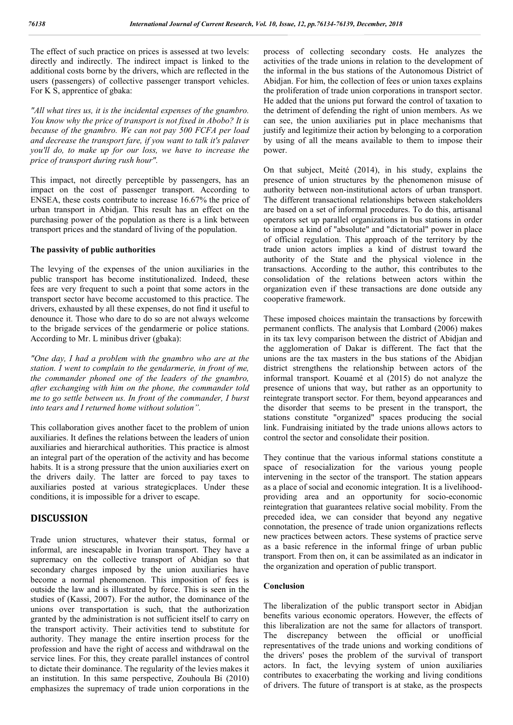The effect of such practice on prices is assessed at two levels: directly and indirectly. The indirect impact is linked to the additional costs borne by the drivers, which are reflected in the users (passengers) of collective passenger transport vehicles. For K S, apprentice of gbaka:

*"All what tires us, it is the incidental expenses of the gnambro. You know why the price of transport is not fixed in Abobo? It is because of the gnambro. We can not pay 500 FCFA per load and decrease the transport fare, if you want to talk it's palaver you'll do, to make up for our loss, we have to increase the price of transport during rush hour".*

This impact, not directly perceptible by passengers, has an impact on the cost of passenger transport. According to ENSEA, these costs contribute to increase 16.67% the price of urban transport in Abidjan. This result has an effect on the purchasing power of the population as there is a link between transport prices and the standard of living of the population.

# **The passivity of public authorities**

The levying of the expenses of the union auxiliaries in the public transport has become institutionalized. Indeed, these fees are very frequent to such a point that some actors in the transport sector have become accustomed to this practice. The drivers, exhausted by all these expenses, do not find it useful to denounce it. Those who dare to do so are not always welcome to the brigade services of the gendarmerie or police stations. According to Mr. L minibus driver (gbaka):

*"One day, I had a problem with the gnambro who are at the station. I went to complain to the gendarmerie, in front of me, the commander phoned one of the leaders of the gnambro, after exchanging with him on the phone, the commander told me to go settle between us. In front of the commander, I burst into tears and I returned home without solution".*

This collaboration gives another facet to the problem of union auxiliaries. It defines the relations between the leaders of union auxiliaries and hierarchical authorities. This practice is almost an integral part of the operation of the activity and has become habits. It is a strong pressure that the union auxiliaries exert on the drivers daily. The latter are forced to pay taxes to auxiliaries posted at various strategicplaces. Under these conditions, it is impossible for a driver to escape.

# **DISCUSSION**

Trade union structures, whatever their status, formal or informal, are inescapable in Ivorian transport. They have a supremacy on the collective transport of Abidjan so that secondary charges imposed by the union auxiliaries have become a normal phenomenon. This imposition of fees is outside the law and is illustrated by force. This is seen in the studies of (Kassi, 2007). For the author, the dominance of the unions over transportation is such, that the authorization granted by the administration is not sufficient itself to carry on the transport activity. Their activities tend to substitute for authority. They manage the entire insertion process for the profession and have the right of access and withdrawal on the service lines. For this, they create parallel instances of control to dictate their dominance. The regularity of the levies makes it an institution. In this same perspective, Zouhoula Bi (2010) emphasizes the supremacy of trade union corporations in the

process of collecting secondary costs. He analyzes the activities of the trade unions in relation to the development of the informal in the bus stations of the Autonomous District of Abidjan. For him, the collection of fees or union taxes explains the proliferation of trade union corporations in transport sector. He added that the unions put forward the control of taxation to the detriment of defending the right of union members. As we can see, the union auxiliaries put in place mechanisms that justify and legitimize their action by belonging to a corporation by using of all the means available to them to impose their power.

On that subject, Meité (2014), in his study, explains the presence of union structures by the phenomenon misuse of authority between non-institutional actors of urban transport. The different transactional relationships between stakeholders are based on a set of informal procedures. To do this, artisanal operators set up parallel organizations in bus stations in order to impose a kind of "absolute" and "dictatorial" power in place of official regulation. This approach of the territory by the trade union actors implies a kind of distrust toward the authority of the State and the physical violence in the transactions. According to the author, this contributes to the consolidation of the relations between actors within the organization even if these transactions are done outside any cooperative framework.

These imposed choices maintain the transactions by forcewith permanent conflicts. The analysis that Lombard (2006) makes in its tax levy comparison between the district of Abidjan and the agglomeration of Dakar is different. The fact that the unions are the tax masters in the bus stations of the Abidjan district strengthens the relationship between actors of the informal transport. Kouamé et al (2015) do not analyze the presence of unions that way, but rather as an opportunity to reintegrate transport sector. For them, beyond appearances and the disorder that seems to be present in the transport, the stations constitute "organized" spaces producing the social link. Fundraising initiated by the trade unions allows actors to control the sector and consolidate their position.

They continue that the various informal stations constitute a space of resocialization for the various young people intervening in the sector of the transport. The station appears as a place of social and economic integration. It is a livelihoodproviding area and an opportunity for socio-economic reintegration that guarantees relative social mobility. From the preceded idea, we can consider that beyond any negative connotation, the presence of trade union organizations reflects new practices between actors. These systems of practice serve as a basic reference in the informal fringe of urban public transport. From then on, it can be assimilated as an indicator in the organization and operation of public transport.

### **Conclusion**

The liberalization of the public transport sector in Abidjan benefits various economic operators. However, the effects of this liberalization are not the same for allactors of transport. The discrepancy between the official or unofficial representatives of the trade unions and working conditions of the drivers' poses the problem of the survival of transport actors. In fact, the levying system of union auxiliaries contributes to exacerbating the working and living conditions of drivers. The future of transport is at stake, as the prospects